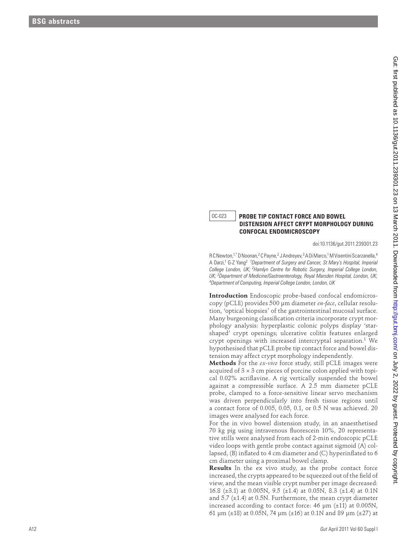## OC-023 **PROBE TIP CONTACT FORCE AND BOWEL DISTENSION AFFECT CRYPT MORPHOLOGY DURING CONFOCAL ENDOMICROSCOPY**

doi:10.1136/gut.2011.239301.23

R C Newton,<sup>1,\*</sup> D Noonan,<sup>2</sup> C Payne,<sup>2</sup> J Andreyev,<sup>3</sup> A Di Marco,<sup>1</sup> M Visentini Scarzanella,<sup>4</sup> A Darzi,<sup>1</sup> G-Z Yang<sup>2</sup> <sup>1</sup>Department of Surgery and Cancer, St Mary's Hospital, Imperial *College London, UK; 2Hamlyn Centre for Robotic Surgery, Imperial College London, UK; 3Department of Medicine/Gastroenterology, Royal Marsden Hospital, London, UK; 4 Department of Computing, Imperial College London, London, UK*

**Introduction** Endoscopic probe-based confocal endomicroscopy (pCLE) provides 500 μm diameter *en-face*, cellular resolution, 'optical biopsies' of the gastrointestinal mucosal surface. Many burgeoning classification criteria incorporate crypt morphology analysis: hyperplastic colonic polyps display 'starshaped' crypt openings; ulcerative colitis features enlarged crypt openings with increased intercryptal separation.1 We hypothesised that pCLE probe tip contact force and bowel distension may affect crypt morphology independently. 0.12331. **PHONE THE CONFIDENTIES CONFIDENTIES CONFIDENTIES CONFIDENTIES CONFIDENTIES CONFIDENTIES CONFIDENTIES CONFIDENTIES CONFIDENTIES CONFIDENTIES CONFIDENTIES CONFIDENTIES CONFIDENTIES CONFIDENTIES CONFIDENTIES CONFI** 

**Methods** For the *ex-vivo* force study, still pCLE images were acquired of  $3 \times 3$  cm pieces of porcine colon applied with topical 0.02% acriflavine. A rig vertically suspended the bowel against a compressible surface. A 2.5 mm diameter pCLE probe, clamped to a force-sensitive linear servo mechanism was driven perpendicularly into fresh tissue regions until a contact force of 0.005, 0.05, 0.1, or 0.5 N was achieved. 20 images were analysed for each force.

For the in vivo bowel distension study, in an anaesthetised 70 kg pig using intravenous fluorescein 10%, 20 representative stills were analysed from each of 2-min endoscopic pCLE video loops with gentle probe contact against sigmoid (A) collapsed, (B) inflated to 4 cm diameter and (C) hyperinflated to 6 cm diameter using a proximal bowel clamp.

**Results** In the ex vivo study, as the probe contact force increased, the crypts appeared to be squeezed out of the field of view, and the mean visible crypt number per image decreased: 16.8 (±3.1) at 0.005N, 9.5 (±1.4) at 0.05N, 8.3 (±1.4) at 0.1N and 5.7 (±1.4) at 0.5N. Furthermore, the mean crypt diameter increased according to contact force:  $46 \mu m$  ( $\pm 11$ ) at 0.005N, 61 μm (±18) at 0.05N, 74 μm (±16) at 0.1N and 89 μm (±27) at